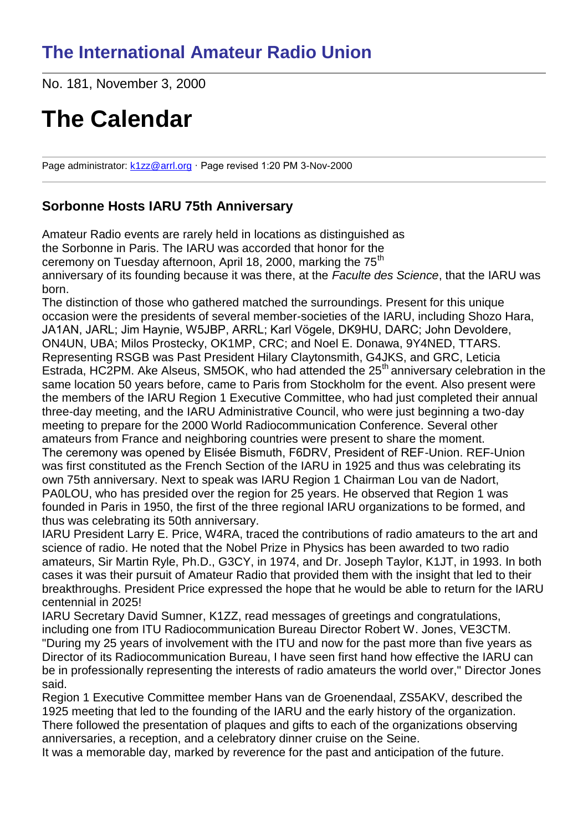# **The International Amateur Radio Union**

No. 181, November 3, 2000

# **The Calendar**

Page administrator: [k1zz@arrl.org](mailto:k1zz@arrl.org) · Page revised 1:20 PM 3-Nov-2000

### **Sorbonne Hosts IARU 75th Anniversary**

Amateur Radio events are rarely held in locations as distinguished as the Sorbonne in Paris. The IARU was accorded that honor for the ceremony on Tuesday afternoon, April 18, 2000, marking the 75<sup>th</sup> anniversary of its founding because it was there, at the *Faculte des Science*, that the IARU was born.

The distinction of those who gathered matched the surroundings. Present for this unique occasion were the presidents of several member-societies of the IARU, including Shozo Hara, JA1AN, JARL; Jim Haynie, W5JBP, ARRL; Karl Vögele, DK9HU, DARC; John Devoldere, ON4UN, UBA; Milos Prostecky, OK1MP, CRC; and Noel E. Donawa, 9Y4NED, TTARS. Representing RSGB was Past President Hilary Claytonsmith, G4JKS, and GRC, Leticia Estrada, HC2PM. Ake Alseus, SM5OK, who had attended the 25<sup>th</sup> anniversary celebration in the same location 50 years before, came to Paris from Stockholm for the event. Also present were the members of the IARU Region 1 Executive Committee, who had just completed their annual three-day meeting, and the IARU Administrative Council, who were just beginning a two-day meeting to prepare for the 2000 World Radiocommunication Conference. Several other amateurs from France and neighboring countries were present to share the moment. The ceremony was opened by Elisée Bismuth, F6DRV, President of REF-Union. REF-Union was first constituted as the French Section of the IARU in 1925 and thus was celebrating its own 75th anniversary. Next to speak was IARU Region 1 Chairman Lou van de Nadort, PA0LOU, who has presided over the region for 25 years. He observed that Region 1 was founded in Paris in 1950, the first of the three regional IARU organizations to be formed, and thus was celebrating its 50th anniversary.

IARU President Larry E. Price, W4RA, traced the contributions of radio amateurs to the art and science of radio. He noted that the Nobel Prize in Physics has been awarded to two radio amateurs, Sir Martin Ryle, Ph.D., G3CY, in 1974, and Dr. Joseph Taylor, K1JT, in 1993. In both cases it was their pursuit of Amateur Radio that provided them with the insight that led to their breakthroughs. President Price expressed the hope that he would be able to return for the IARU centennial in 2025!

IARU Secretary David Sumner, K1ZZ, read messages of greetings and congratulations, including one from ITU Radiocommunication Bureau Director Robert W. Jones, VE3CTM. "During my 25 years of involvement with the ITU and now for the past more than five years as Director of its Radiocommunication Bureau, I have seen first hand how effective the IARU can be in professionally representing the interests of radio amateurs the world over," Director Jones said.

Region 1 Executive Committee member Hans van de Groenendaal, ZS5AKV, described the 1925 meeting that led to the founding of the IARU and the early history of the organization. There followed the presentation of plaques and gifts to each of the organizations observing anniversaries, a reception, and a celebratory dinner cruise on the Seine.

It was a memorable day, marked by reverence for the past and anticipation of the future.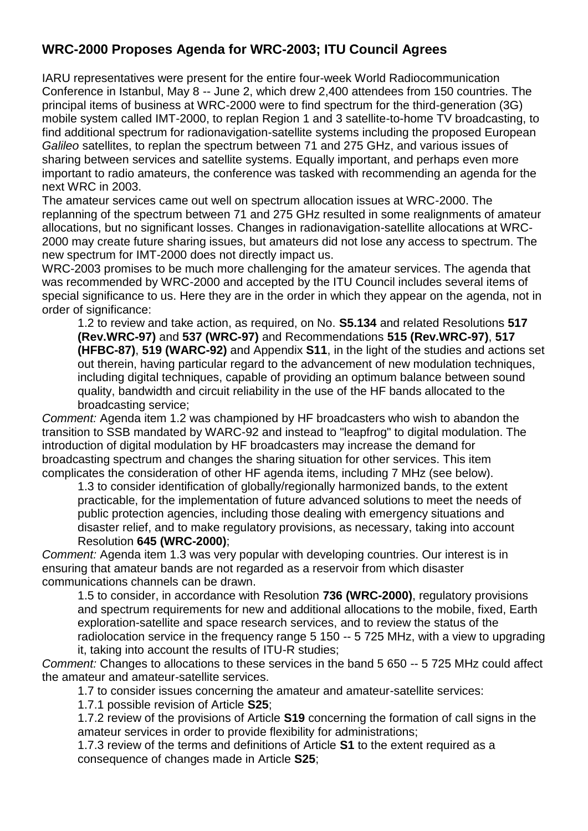# **WRC-2000 Proposes Agenda for WRC-2003; ITU Council Agrees**

IARU representatives were present for the entire four-week World Radiocommunication Conference in Istanbul, May 8 -- June 2, which drew 2,400 attendees from 150 countries. The principal items of business at WRC-2000 were to find spectrum for the third-generation (3G) mobile system called IMT-2000, to replan Region 1 and 3 satellite-to-home TV broadcasting, to find additional spectrum for radionavigation-satellite systems including the proposed European *Galileo* satellites, to replan the spectrum between 71 and 275 GHz, and various issues of sharing between services and satellite systems. Equally important, and perhaps even more important to radio amateurs, the conference was tasked with recommending an agenda for the next WRC in 2003.

The amateur services came out well on spectrum allocation issues at WRC-2000. The replanning of the spectrum between 71 and 275 GHz resulted in some realignments of amateur allocations, but no significant losses. Changes in radionavigation-satellite allocations at WRC-2000 may create future sharing issues, but amateurs did not lose any access to spectrum. The new spectrum for IMT-2000 does not directly impact us.

WRC-2003 promises to be much more challenging for the amateur services. The agenda that was recommended by WRC-2000 and accepted by the ITU Council includes several items of special significance to us. Here they are in the order in which they appear on the agenda, not in order of significance:

1.2 to review and take action, as required, on No. **S5.134** and related Resolutions **517 (Rev.WRC-97)** and **537 (WRC-97)** and Recommendations **515 (Rev.WRC-97)**, **517 (HFBC-87)**, **519 (WARC-92)** and Appendix **S11**, in the light of the studies and actions set out therein, having particular regard to the advancement of new modulation techniques, including digital techniques, capable of providing an optimum balance between sound quality, bandwidth and circuit reliability in the use of the HF bands allocated to the broadcasting service;

*Comment:* Agenda item 1.2 was championed by HF broadcasters who wish to abandon the transition to SSB mandated by WARC-92 and instead to "leapfrog" to digital modulation. The introduction of digital modulation by HF broadcasters may increase the demand for broadcasting spectrum and changes the sharing situation for other services. This item complicates the consideration of other HF agenda items, including 7 MHz (see below).

1.3 to consider identification of globally/regionally harmonized bands, to the extent practicable, for the implementation of future advanced solutions to meet the needs of public protection agencies, including those dealing with emergency situations and disaster relief, and to make regulatory provisions, as necessary, taking into account Resolution **645 (WRC-2000)**;

*Comment:* Agenda item 1.3 was very popular with developing countries. Our interest is in ensuring that amateur bands are not regarded as a reservoir from which disaster communications channels can be drawn.

1.5 to consider, in accordance with Resolution **736 (WRC-2000)**, regulatory provisions and spectrum requirements for new and additional allocations to the mobile, fixed, Earth exploration-satellite and space research services, and to review the status of the radiolocation service in the frequency range 5 150 -- 5 725 MHz, with a view to upgrading it, taking into account the results of ITU-R studies;

*Comment:* Changes to allocations to these services in the band 5 650 -- 5 725 MHz could affect the amateur and amateur-satellite services.

1.7 to consider issues concerning the amateur and amateur-satellite services:

1.7.1 possible revision of Article **S25**;

1.7.2 review of the provisions of Article **S19** concerning the formation of call signs in the amateur services in order to provide flexibility for administrations;

1.7.3 review of the terms and definitions of Article **S1** to the extent required as a consequence of changes made in Article **S25**;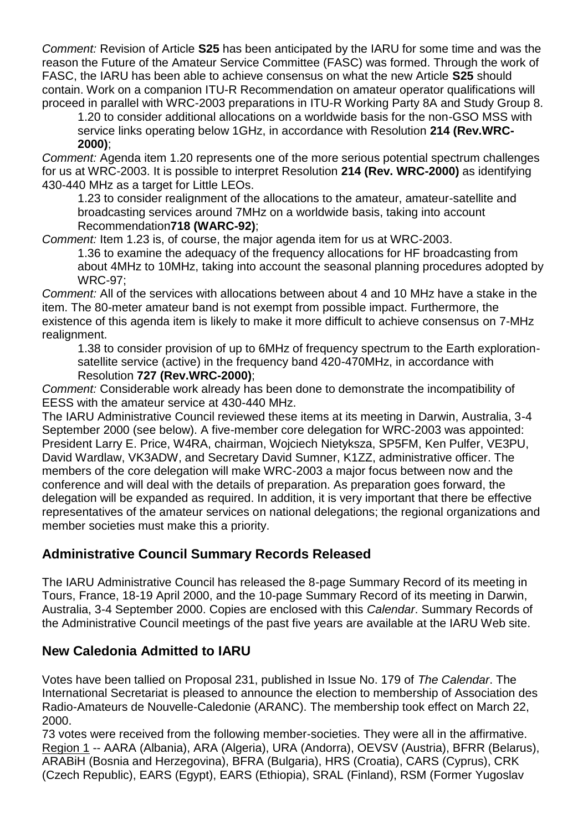*Comment:* Revision of Article **S25** has been anticipated by the IARU for some time and was the reason the Future of the Amateur Service Committee (FASC) was formed. Through the work of FASC, the IARU has been able to achieve consensus on what the new Article **S25** should contain. Work on a companion ITU-R Recommendation on amateur operator qualifications will proceed in parallel with WRC-2003 preparations in ITU-R Working Party 8A and Study Group 8.

1.20 to consider additional allocations on a worldwide basis for the non-GSO MSS with service links operating below 1GHz, in accordance with Resolution **214 (Rev.WRC-2000)**;

*Comment:* Agenda item 1.20 represents one of the more serious potential spectrum challenges for us at WRC-2003. It is possible to interpret Resolution **214 (Rev. WRC-2000)** as identifying 430-440 MHz as a target for Little LEOs.

1.23 to consider realignment of the allocations to the amateur, amateur-satellite and broadcasting services around 7MHz on a worldwide basis, taking into account Recommendation**718 (WARC-92)**;

*Comment:* Item 1.23 is, of course, the major agenda item for us at WRC-2003.

1.36 to examine the adequacy of the frequency allocations for HF broadcasting from about 4MHz to 10MHz, taking into account the seasonal planning procedures adopted by WRC-97;

*Comment:* All of the services with allocations between about 4 and 10 MHz have a stake in the item. The 80-meter amateur band is not exempt from possible impact. Furthermore, the existence of this agenda item is likely to make it more difficult to achieve consensus on 7-MHz realignment.

1.38 to consider provision of up to 6MHz of frequency spectrum to the Earth explorationsatellite service (active) in the frequency band 420-470MHz, in accordance with Resolution **727 (Rev.WRC-2000)**;

*Comment:* Considerable work already has been done to demonstrate the incompatibility of EESS with the amateur service at 430-440 MHz.

The IARU Administrative Council reviewed these items at its meeting in Darwin, Australia, 3-4 September 2000 (see below). A five-member core delegation for WRC-2003 was appointed: President Larry E. Price, W4RA, chairman, Wojciech Nietyksza, SP5FM, Ken Pulfer, VE3PU, David Wardlaw, VK3ADW, and Secretary David Sumner, K1ZZ, administrative officer. The members of the core delegation will make WRC-2003 a major focus between now and the conference and will deal with the details of preparation. As preparation goes forward, the delegation will be expanded as required. In addition, it is very important that there be effective representatives of the amateur services on national delegations; the regional organizations and member societies must make this a priority.

# **Administrative Council Summary Records Released**

The IARU Administrative Council has released the 8-page Summary Record of its meeting in Tours, France, 18-19 April 2000, and the 10-page Summary Record of its meeting in Darwin, Australia, 3-4 September 2000. Copies are enclosed with this *Calendar*. Summary Records of the Administrative Council meetings of the past five years are available at the IARU Web site.

#### **New Caledonia Admitted to IARU**

Votes have been tallied on Proposal 231, published in Issue No. 179 of *The Calendar*. The International Secretariat is pleased to announce the election to membership of Association des Radio-Amateurs de Nouvelle-Caledonie (ARANC). The membership took effect on March 22, 2000.

73 votes were received from the following member-societies. They were all in the affirmative. Region 1 -- AARA (Albania), ARA (Algeria), URA (Andorra), OEVSV (Austria), BFRR (Belarus), ARABiH (Bosnia and Herzegovina), BFRA (Bulgaria), HRS (Croatia), CARS (Cyprus), CRK (Czech Republic), EARS (Egypt), EARS (Ethiopia), SRAL (Finland), RSM (Former Yugoslav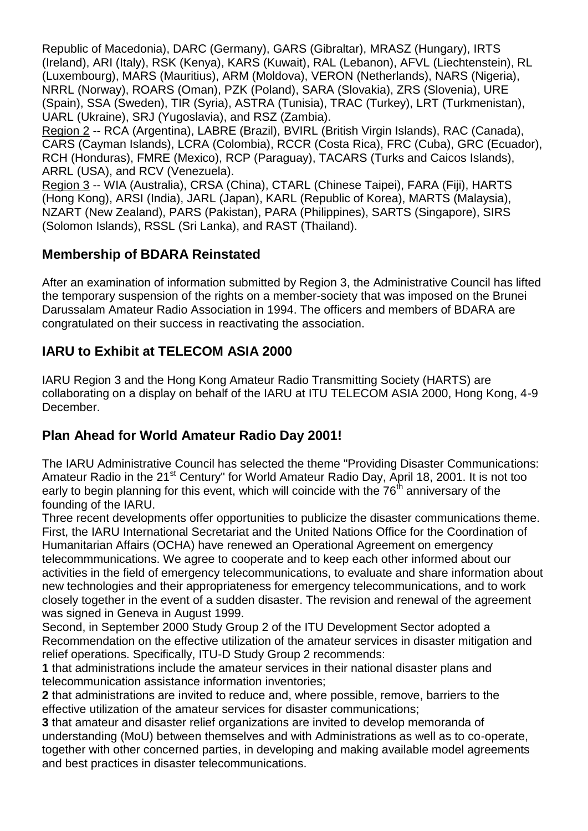Republic of Macedonia), DARC (Germany), GARS (Gibraltar), MRASZ (Hungary), IRTS (Ireland), ARI (Italy), RSK (Kenya), KARS (Kuwait), RAL (Lebanon), AFVL (Liechtenstein), RL (Luxembourg), MARS (Mauritius), ARM (Moldova), VERON (Netherlands), NARS (Nigeria), NRRL (Norway), ROARS (Oman), PZK (Poland), SARA (Slovakia), ZRS (Slovenia), URE (Spain), SSA (Sweden), TIR (Syria), ASTRA (Tunisia), TRAC (Turkey), LRT (Turkmenistan), UARL (Ukraine), SRJ (Yugoslavia), and RSZ (Zambia).

Region 2 -- RCA (Argentina), LABRE (Brazil), BVIRL (British Virgin Islands), RAC (Canada), CARS (Cayman Islands), LCRA (Colombia), RCCR (Costa Rica), FRC (Cuba), GRC (Ecuador), RCH (Honduras), FMRE (Mexico), RCP (Paraguay), TACARS (Turks and Caicos Islands), ARRL (USA), and RCV (Venezuela).

Region 3 -- WIA (Australia), CRSA (China), CTARL (Chinese Taipei), FARA (Fiji), HARTS (Hong Kong), ARSI (India), JARL (Japan), KARL (Republic of Korea), MARTS (Malaysia), NZART (New Zealand), PARS (Pakistan), PARA (Philippines), SARTS (Singapore), SIRS (Solomon Islands), RSSL (Sri Lanka), and RAST (Thailand).

# **Membership of BDARA Reinstated**

After an examination of information submitted by Region 3, the Administrative Council has lifted the temporary suspension of the rights on a member-society that was imposed on the Brunei Darussalam Amateur Radio Association in 1994. The officers and members of BDARA are congratulated on their success in reactivating the association.

# **IARU to Exhibit at TELECOM ASIA 2000**

IARU Region 3 and the Hong Kong Amateur Radio Transmitting Society (HARTS) are collaborating on a display on behalf of the IARU at ITU TELECOM ASIA 2000, Hong Kong, 4-9 December.

# **Plan Ahead for World Amateur Radio Day 2001!**

The IARU Administrative Council has selected the theme "Providing Disaster Communications: Amateur Radio in the 21<sup>st</sup> Century" for World Amateur Radio Day, April 18, 2001. It is not too early to begin planning for this event, which will coincide with the  $76<sup>th</sup>$  anniversary of the founding of the IARU.

Three recent developments offer opportunities to publicize the disaster communications theme. First, the IARU International Secretariat and the United Nations Office for the Coordination of Humanitarian Affairs (OCHA) have renewed an Operational Agreement on emergency telecommmunications. We agree to cooperate and to keep each other informed about our activities in the field of emergency telecommunications, to evaluate and share information about new technologies and their appropriateness for emergency telecommunications, and to work closely together in the event of a sudden disaster. The revision and renewal of the agreement was signed in Geneva in August 1999.

Second, in September 2000 Study Group 2 of the ITU Development Sector adopted a Recommendation on the effective utilization of the amateur services in disaster mitigation and relief operations. Specifically, ITU-D Study Group 2 recommends:

**1** that administrations include the amateur services in their national disaster plans and telecommunication assistance information inventories;

**2** that administrations are invited to reduce and, where possible, remove, barriers to the effective utilization of the amateur services for disaster communications;

**3** that amateur and disaster relief organizations are invited to develop memoranda of understanding (MoU) between themselves and with Administrations as well as to co-operate, together with other concerned parties, in developing and making available model agreements and best practices in disaster telecommunications.